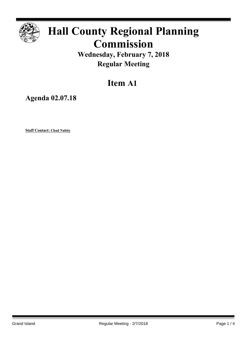

## **Hall County Regional Planning Commission**

**Wednesday, February 7, 2018 Regular Meeting**

## **Item A1**

**Agenda 02.07.18**

**Staff Contact: Chad Nabity**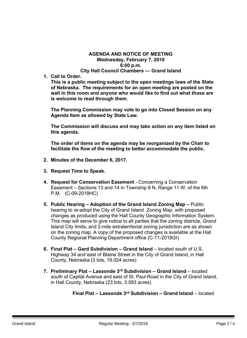## **AGENDA AND NOTICE OF MEETING Wednesday, February 7, 2018 6:00 p.m. City Hall Council Chambers — Grand Island**

**1. Call to Order.**

**This is a public meeting subject to the open meetings laws of the State of Nebraska. The requirements for an open meeting are posted on the wall in this room and anyone who would like to find out what those are is welcome to read through them**.

**The Planning Commission may vote to go into Closed Session on any Agenda Item as allowed by State Law.**

**The Commission will discuss and may take action on any item listed on this agenda.**

**The order of items on the agenda may be reorganized by the Chair to facilitate the flow of the meeting to better accommodate the public.**

- **2. Minutes of the December 6, 2017.**
- **3. Request Time to Speak.**
- **4. Request for Conservation Easement** Concerning a Conservation Easement – Sections 13 and 14 in Township 9 N, Range 11 W. of the 6th P.M. (C-09-2018HC)
- **5. Public Hearing – Adoption of the Grand Island Zoning Map –** Public hearing to re-adopt the City of Grand Island Zoning Map, with proposed changes as produced using the Hall County Geographic Information System. This map will serve to give notice to all parties that the zoning districts, Grand Island City limits, and 2-mile extraterritorial zoning jurisdiction are as shown on the zoning map. A copy of the proposed changes is available at the Hall County Regional Planning Department office (C-11-2018GI)
- **6. Final Plat – Gard Subdivision – Grand Island** located south of U.S. Highway 34 and east of Blaine Street in the City of Grand Island, in Hall County, Nebraska (3 lots, 19.024 acres)
- **7. Preliminary Plat – Lassonde 3 rd Subdivision – Grand Island** located south of Capital Avenue and east of St. Paul Road in the City of Grand Island, in Hall County, Nebraska (23 lots, 3.593 acres)

**Final Plat – Lassonde 3 rd Subdivision – Grand Island** – located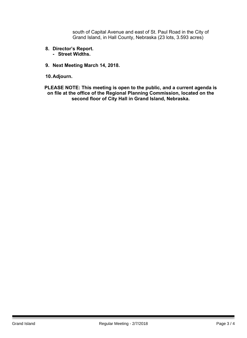south of Capital Avenue and east of St. Paul Road in the City of Grand Island, in Hall County, Nebraska (23 lots, 3.593 acres)

- **8. Director's Report.**
	- **- Street Widths.**
- **9. Next Meeting March 14, 2018.**

**10.Adjourn.**

**PLEASE NOTE: This meeting is open to the public, and a current agenda is on file at the office of the Regional Planning Commission, located on the second floor of City Hall in Grand Island, Nebraska.**